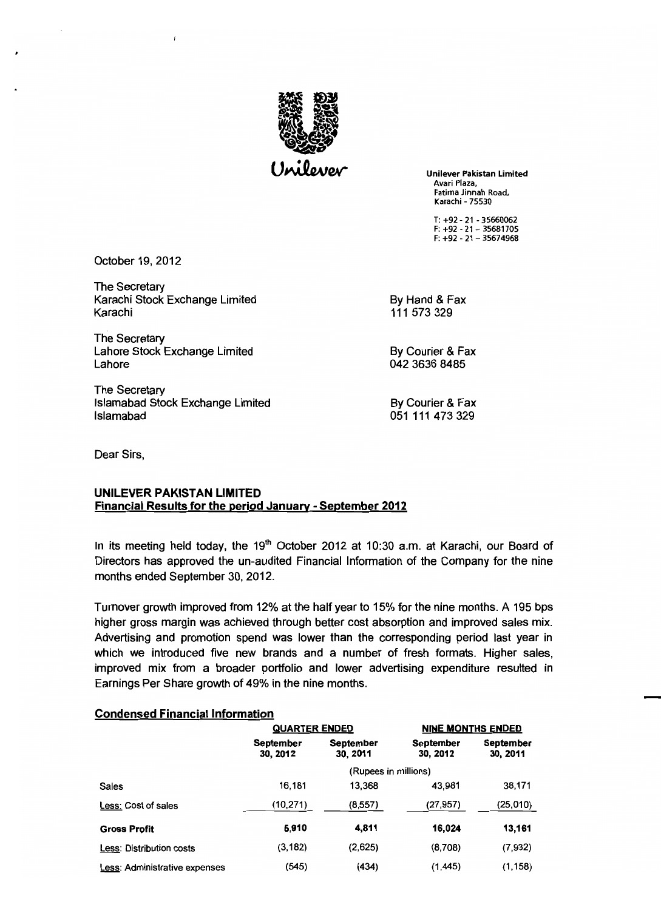

Unilever Pakistan Limited Avari Plaza, Fatima Jinnah Road, Karachi - 75530

T: +92 - 21 - 35660062 F: +92 - 21 - 35681705 F: +92 - 21 - 35674968

October 19, 2012

The Secretary Karachi Stock Exchange Limited By Hand & Fax Karachi 111 573 329

The Secretary Lahore Stock Exchange Limited By Courier & Fax Lahore 042 3636 8485

The Secretary Islamabad Stock Exchange Limited By Courier & Fax Islamabad 051 111 473 329

Dear Sirs,

## UNILEVER PAKISTAN LIMITED Financial Results for the period January - September 2012

In its meeting held today, the  $19<sup>th</sup>$  October 2012 at 10:30 a.m. at Karachi, our Board of Directors has approved the un-audited Financial Information of the Company for the nine months ended September 30, 2012.

Turnover growth improved from 12% at the half year to 15% for the nine months. A 195 bps higher gross margin was achieved through better cost absorption and improved sales mix. Advertising and promotion spend was lower than the corresponding period last year in which we introduced five new brands and a number of fresh formats. Higher sales, improved mix from a broader portfolio and lower advertising expenditure resulted in Earnings Per Share growth of 49% in the nine months.

## Condensed Financial Information

|                               | <b>QUARTER ENDED</b>         |                       | <b>NINE MONTHS ENDED</b>     |                              |  |
|-------------------------------|------------------------------|-----------------------|------------------------------|------------------------------|--|
|                               | <b>September</b><br>30, 2012 | September<br>30, 2011 | <b>September</b><br>30, 2012 | <b>September</b><br>30, 2011 |  |
|                               | (Rupees in millions)         |                       |                              |                              |  |
| <b>Sales</b>                  | 16.181                       | 13.368                | 43.981                       | 38,171                       |  |
| Less: Cost of sales           | (10, 271)                    | (8, 557)              | (27, 957)                    | (25,010)                     |  |
| <b>Gross Profit</b>           | 5,910                        | 4,811                 | 16,024                       | 13,161                       |  |
| Less: Distribution costs      | (3, 182)                     | (2,625)               | (8,708)                      | (7,932)                      |  |
| Less: Administrative expenses | (545)                        | (434)                 | (1, 445)                     | (1, 158)                     |  |